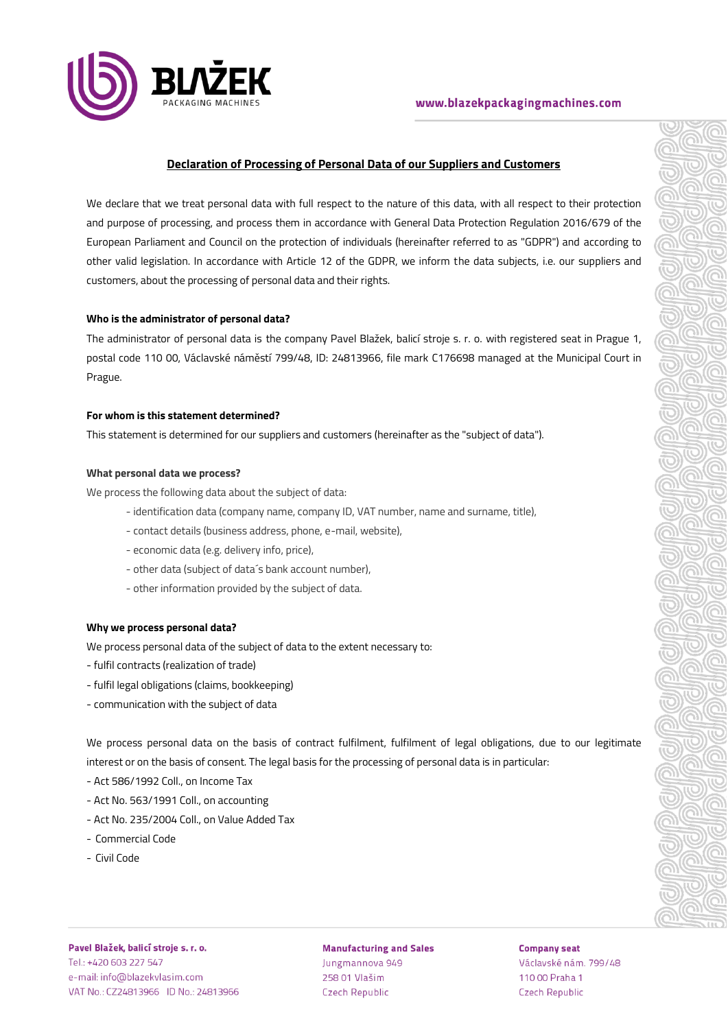

# **Declaration of Processing of Personal Data of our Suppliers and Customers**

We declare that we treat personal data with full respect to the nature of this data, with all respect to their protection and purpose of processing, and process them in accordance with General Data Protection Regulation 2016/679 of the European Parliament and Council on the protection of individuals (hereinafter referred to as "GDPR") and according to other valid legislation. In accordance with Article 12 of the GDPR, we inform the data subjects, i.e. our suppliers and customers, about the processing of personal data and their rights.

# **Who is the administrator of personal data?**

The administrator of personal data is the company Pavel Blažek, balicí stroje s. r. o. with registered seat in Prague 1, postal code 110 00, Václavské náměstí 799/48, ID: 24813966, file mark C176698 managed at the Municipal Court in Prague.

#### **For whom is this statement determined?**

This statement is determined for our suppliers and customers (hereinafter as the "subject of data").

# **What personal data we process?**

We process the following data about the subject of data:

- identification data (company name, company ID, VAT number, name and surname, title),
- contact details (business address, phone, e-mail, website),
- economic data (e.g. delivery info, price),
- other data (subject of data´s bank account number),
- other information provided by the subject of data.

#### **Why we process personal data?**

We process personal data of the subject of data to the extent necessary to:

- fulfil contracts (realization of trade)
- fulfil legal obligations (claims, bookkeeping)
- communication with the subject of data

We process personal data on the basis of contract fulfilment, fulfilment of legal obligations, due to our legitimate interest or on the basis of consent. The legal basis for the processing of personal data is in particular:

- Act 586/1992 Coll., on Income Tax
- Act No. 563/1991 Coll., on accounting
- Act No. 235/2004 Coll., on Value Added Tax
- Commercial Code
- Civil Code

**Manufacturing and Sales** Jungmannova 949 258 01 Vlašim **Czech Republic** 

# **Company seat**

Václavské nám. 799/48 110 00 Praha 1 **Czech Republic**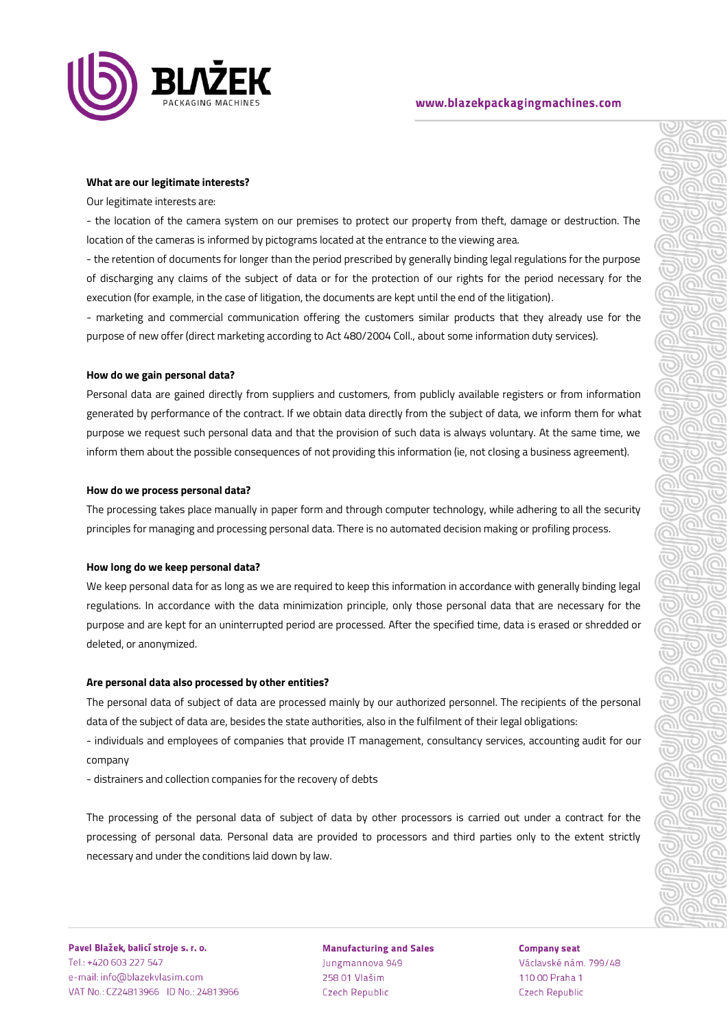

# www.blazekpackagingmachines.com

# $\overline{C}$ <u>ලා</u>  $\overline{C}$ <u>ු</u>  $\overline{C}$ බ  $\overline{C}$ <u>බ</u>  $\overline{\mathbb{C}}$ <u>බ</u>  $\overline{C}$ 9)  $\overline{\mathbb{C}}$ ⋒  $\overline{C}$ <u>ා</u>

 $\overline{1}$ <u>බ</u>

 $\circledcirc$ 

 $\overline{\mathbb{C}}$ <u>ලා</u>

<u>ම</u>

#### **What are our legitimate interests?**

Our legitimate interests are:

- the location of the camera system on our premises to protect our property from theft, damage or destruction. The location of the cameras is informed by pictograms located at the entrance to the viewing area.

- the retention of documents for longer than the period prescribed by generally binding legal regulations for the purpose of discharging any claims of the subject of data or for the protection of our rights for the period necessary for the execution (for example, in the case of litigation, the documents are kept until the end of the litigation).

- marketing and commercial communication offering the customers similar products that they already use for the purpose of new offer (direct marketing according to Act 480/2004 Coll., about some information duty services).

# **How do we gain personal data?**

Personal data are gained directly from suppliers and customers, from publicly available registers or from information generated by performance of the contract. If we obtain data directly from the subject of data, we inform them for what purpose we request such personal data and that the provision of such data is always voluntary. At the same time, we inform them about the possible consequences of not providing this information (ie, not closing a business agreement).

# **How do we process personal data?**

The processing takes place manually in paper form and through computer technology, while adhering to all the security principles for managing and processing personal data. There is no automated decision making or profiling process.

# **How long do we keep personal data?**

We keep personal data for as long as we are required to keep this information in accordance with generally binding legal regulations. In accordance with the data minimization principle, only those personal data that are necessary for the purpose and are kept for an uninterrupted period are processed. After the specified time, data is erased or shredded or deleted, or anonymized.

# **Are personal data also processed by other entities?**

The personal data of subject of data are processed mainly by our authorized personnel. The recipients of the personal data of the subject of data are, besides the state authorities, also in the fulfilment of their legal obligations:

- individuals and employees of companies that provide IT management, consultancy services, accounting audit for our company

- distrainers and collection companies for the recovery of debts

The processing of the personal data of subject of data by other processors is carried out under a contract for the processing of personal data. Personal data are provided to processors and third parties only to the extent strictly necessary and under the conditions laid down by law.

Pavel Blažek, balicí stroje s. r. o. Tel.: +420 603 227 547 e-mail: info@blazekvlasim.com VAT No.: CZ24813966 ID No.: 24813966

**Manufacturing and Sales** Jungmannova 949 258 01 Vlašim **Czech Republic** 

**Company seat** Václavské nám. 799/48 110 00 Praha 1 **Czech Republic**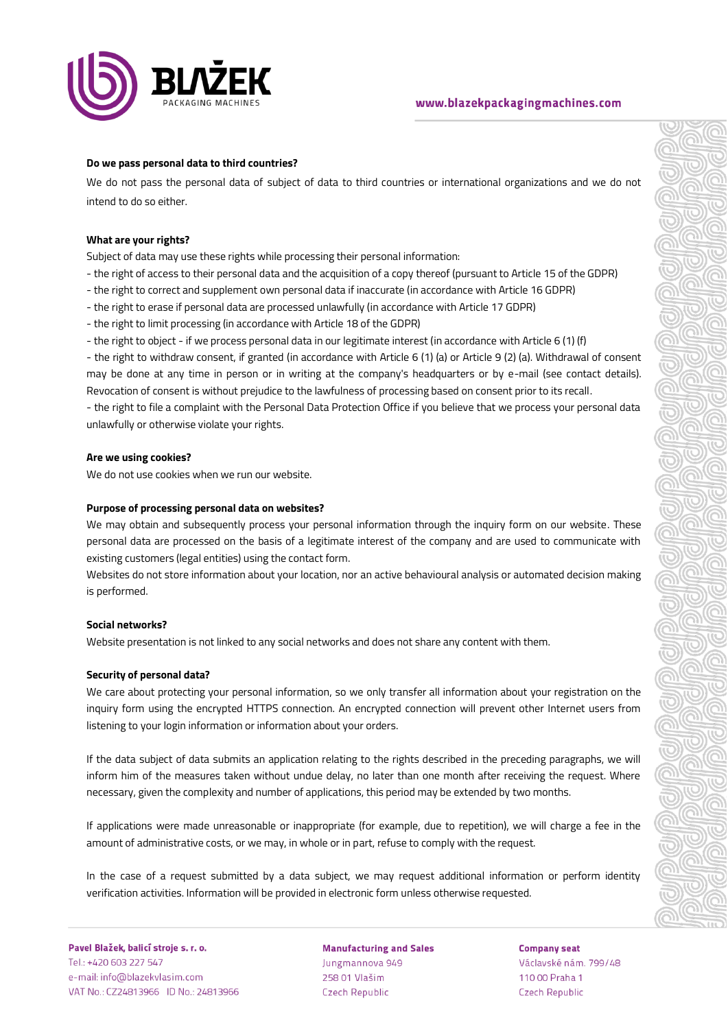

# www.blazekpackagingmachines.com

# **Do we pass personal data to third countries?**

We do not pass the personal data of subject of data to third countries or international organizations and we do not intend to do so either.

#### **What are your rights?**

Subject of data may use these rights while processing their personal information:

- the right of access to their personal data and the acquisition of a copy thereof (pursuant to Article 15 of the GDPR)
- the right to correct and supplement own personal data if inaccurate (in accordance with Article 16 GDPR)
- the right to erase if personal data are processed unlawfully (in accordance with Article 17 GDPR)
- the right to limit processing (in accordance with Article 18 of the GDPR)
- the right to object if we process personal data in our legitimate interest (in accordance with Article 6 (1) (f)

- the right to withdraw consent, if granted (in accordance with Article 6 (1) (a) or Article 9 (2) (a). Withdrawal of consent may be done at any time in person or in writing at the company's headquarters or by e-mail (see contact details). Revocation of consent is without prejudice to the lawfulness of processing based on consent prior to its recall.

- the right to file a complaint with the Personal Data Protection Office if you believe that we process your personal data unlawfully or otherwise violate your rights.

# **Are we using cookies?**

We do not use cookies when we run our website.

#### **Purpose of processing personal data on websites?**

We may obtain and subsequently process your personal information through the inquiry form on our website. These personal data are processed on the basis of a legitimate interest of the company and are used to communicate with existing customers (legal entities) using the contact form.

Websites do not store information about your location, nor an active behavioural analysis or automated decision making is performed.

#### **Social networks?**

Website presentation is not linked to any social networks and does not share any content with them.

# **Security of personal data?**

We care about protecting your personal information, so we only transfer all information about your registration on the inquiry form using the encrypted HTTPS connection. An encrypted connection will prevent other Internet users from listening to your login information or information about your orders.

If the data subject of data submits an application relating to the rights described in the preceding paragraphs, we will inform him of the measures taken without undue delay, no later than one month after receiving the request. Where necessary, given the complexity and number of applications, this period may be extended by two months.

If applications were made unreasonable or inappropriate (for example, due to repetition), we will charge a fee in the amount of administrative costs, or we may, in whole or in part, refuse to comply with the request.

In the case of a request submitted by a data subject, we may request additional information or perform identity verification activities. Information will be provided in electronic form unless otherwise requested.

**Manufacturing and Sales** Jungmannova 949 258 01 Vlašim **Czech Republic** 

**Company seat** Václavské nám. 799/48 110 00 Praha 1 **Czech Republic**